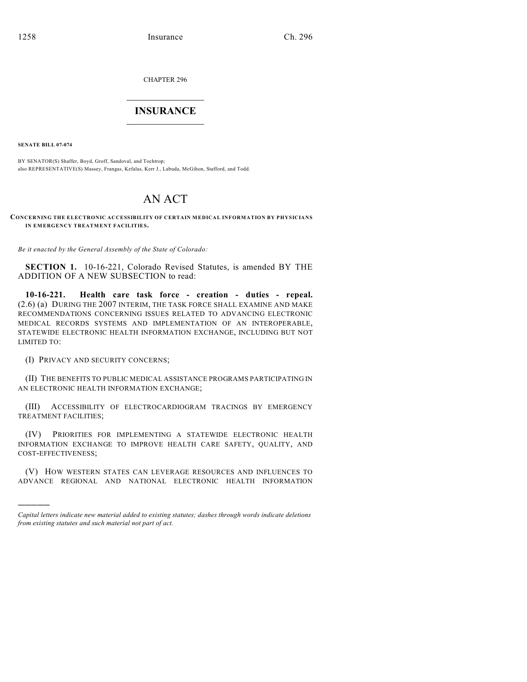CHAPTER 296

## $\mathcal{L}_\text{max}$  . The set of the set of the set of the set of the set of the set of the set of the set of the set of the set of the set of the set of the set of the set of the set of the set of the set of the set of the set **INSURANCE**  $\frac{1}{2}$  ,  $\frac{1}{2}$  ,  $\frac{1}{2}$  ,  $\frac{1}{2}$  ,  $\frac{1}{2}$  ,  $\frac{1}{2}$  ,  $\frac{1}{2}$

**SENATE BILL 07-074**

)))))

BY SENATOR(S) Shaffer, Boyd, Groff, Sandoval, and Tochtrop; also REPRESENTATIVE(S) Massey, Frangas, Kefalas, Kerr J., Labuda, McGihon, Stafford, and Todd.

## AN ACT

**CONCERNING THE ELECTRONIC ACCESSIBILITY OF CERTAIN MEDICAL INFORMATION BY PHYSICIANS IN EMERGENCY TREATMENT FACILITIES.**

*Be it enacted by the General Assembly of the State of Colorado:*

**SECTION 1.** 10-16-221, Colorado Revised Statutes, is amended BY THE ADDITION OF A NEW SUBSECTION to read:

**10-16-221. Health care task force - creation - duties - repeal.** (2.6) (a) DURING THE 2007 INTERIM, THE TASK FORCE SHALL EXAMINE AND MAKE RECOMMENDATIONS CONCERNING ISSUES RELATED TO ADVANCING ELECTRONIC MEDICAL RECORDS SYSTEMS AND IMPLEMENTATION OF AN INTEROPERABLE, STATEWIDE ELECTRONIC HEALTH INFORMATION EXCHANGE, INCLUDING BUT NOT LIMITED TO:

(I) PRIVACY AND SECURITY CONCERNS;

(II) THE BENEFITS TO PUBLIC MEDICAL ASSISTANCE PROGRAMS PARTICIPATING IN AN ELECTRONIC HEALTH INFORMATION EXCHANGE;

(III) ACCESSIBILITY OF ELECTROCARDIOGRAM TRACINGS BY EMERGENCY TREATMENT FACILITIES;

(IV) PRIORITIES FOR IMPLEMENTING A STATEWIDE ELECTRONIC HEALTH INFORMATION EXCHANGE TO IMPROVE HEALTH CARE SAFETY, QUALITY, AND COST-EFFECTIVENESS;

(V) HOW WESTERN STATES CAN LEVERAGE RESOURCES AND INFLUENCES TO ADVANCE REGIONAL AND NATIONAL ELECTRONIC HEALTH INFORMATION

*Capital letters indicate new material added to existing statutes; dashes through words indicate deletions from existing statutes and such material not part of act.*